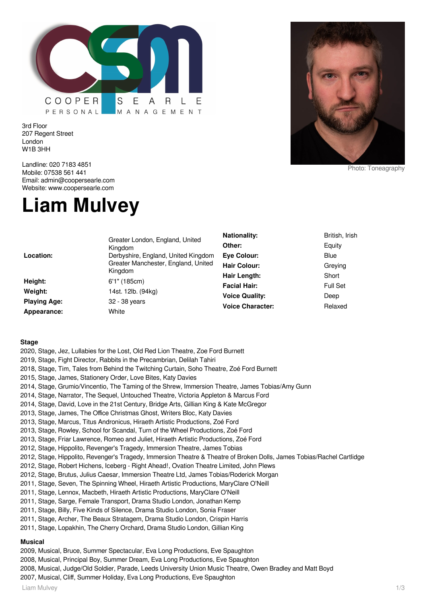

3rd Floor 207 Regent Street London W1B 3HH

Landline: 020 7183 4851 Mobile: 07538 561 441 Email: admin@coopersearle.com Website: www.coopersearle.com

# **Liam Mulvey**



Photo: Toneagraphy

|                     | Greater London, England, United<br>Kingdom     | <b>Nationality:</b>     | British, Irish  |
|---------------------|------------------------------------------------|-------------------------|-----------------|
|                     |                                                | Other:                  | Equity          |
| Location:           | Derbyshire, England, United Kingdom            | <b>Eve Colour:</b>      | <b>Blue</b>     |
|                     | Greater Manchester, England, United<br>Kingdom | <b>Hair Colour:</b>     | Greying         |
|                     |                                                | Hair Length:            | Short           |
| Height:             | 6'1" (185cm)                                   | <b>Facial Hair:</b>     | <b>Full Set</b> |
| Weight:             | 14st. 12lb. (94kg)                             | <b>Voice Quality:</b>   | Deep            |
| <b>Playing Age:</b> | 32 - 38 years                                  | <b>Voice Character:</b> | Relaxed         |
| Appearance:         | White                                          |                         |                 |

#### **Stage**

2019, Stage, Fight Director, Rabbits in the Precambrian, Delilah Tahiri 2018, Stage, Tim, Tales from Behind the Twitching Curtain, Soho Theatre, Zoé Ford Burnett 2015, Stage, James, Stationery Order, Love Bites, Katy Davies 2014, Stage, Grumio/Vincentio, The Taming of the Shrew, Immersion Theatre, James Tobias/Amy Gunn 2014, Stage, Narrator, The Sequel, Untouched Theatre, Victoria Appleton & Marcus Ford 2014, Stage, David, Love in the 21st Century, Bridge Arts, Gillian King & Kate McGregor 2013, Stage, James, The Office Christmas Ghost, Writers Bloc, Katy Davies 2013, Stage, Marcus, Titus Andronicus, Hiraeth Artistic Productions, Zoé Ford 2013, Stage, Rowley, School for Scandal, Turn of the Wheel Productions, Zoé Ford 2013, Stage, Friar Lawrence, Romeo and Juliet, Hiraeth Artistic Productions, Zoé Ford 2012, Stage, Hippolito, Revenger's Tragedy, Immersion Theatre, James Tobias 2012, Stage, Hippolito, Revenger's Tragedy, Immersion Theatre & Theatre of Broken Dolls, James Tobias/Rachel Cartlidge 2012, Stage, Robert Hichens, Iceberg - Right Ahead!, Ovation Theatre Limited, John Plews 2012, Stage, Brutus, Julius Caesar, Immersion Theatre Ltd, James Tobias/Roderick Morgan 2011, Stage, Seven, The Spinning Wheel, Hiraeth Artistic Productions, MaryClare O'Neill 2011, Stage, Lennox, Macbeth, Hiraeth Artistic Productions, MaryClare O'Neill 2011, Stage, Sarge, Female Transport, Drama Studio London, Jonathan Kemp 2011, Stage, Billy, Five Kinds of Silence, Drama Studio London, Sonia Fraser 2011, Stage, Archer, The Beaux Stratagem, Drama Studio London, Crispin Harris 2011, Stage, Lopakhin, The Cherry Orchard, Drama Studio London, Gillian King **Musical**

2009, Musical, Bruce, Summer Spectacular, Eva Long Productions, Eve Spaughton

2020, Stage, Jez, Lullabies for the Lost, Old Red Lion Theatre, Zoe Ford Burnett

- 2008, Musical, Principal Boy, Summer Dream, Eva Long Productions, Eve Spaughton
- 2008, Musical, Judge/Old Soldier, Parade, Leeds University Union Music Theatre, Owen Bradley and Matt Boyd
- 2007, Musical, Cliff, Summer Holiday, Eva Long Productions, Eve Spaughton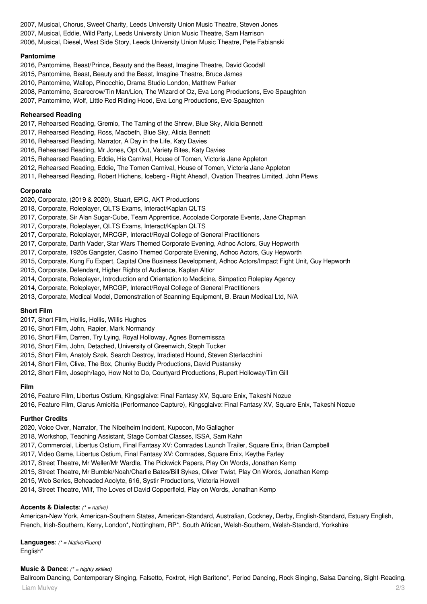2007, Musical, Chorus, Sweet Charity, Leeds University Union Music Theatre, Steven Jones 2007, Musical, Eddie, Wild Party, Leeds University Union Music Theatre, Sam Harrison 2006, Musical, Diesel, West Side Story, Leeds University Union Music Theatre, Pete Fabianski

## **Pantomime**

2016, Pantomime, Beast/Prince, Beauty and the Beast, Imagine Theatre, David Goodall

2015, Pantomime, Beast, Beauty and the Beast, Imagine Theatre, Bruce James

2010, Pantomime, Wallop, Pinocchio, Drama Studio London, Matthew Parker

2008, Pantomime, Scarecrow/Tin Man/Lion, The Wizard of Oz, Eva Long Productions, Eve Spaughton

2007, Pantomime, Wolf, Little Red Riding Hood, Eva Long Productions, Eve Spaughton

#### **Rehearsed Reading**

- 2017, Rehearsed Reading, Gremio, The Taming of the Shrew, Blue Sky, Alicia Bennett
- 2017, Rehearsed Reading, Ross, Macbeth, Blue Sky, Alicia Bennett
- 2016, Rehearsed Reading, Narrator, A Day in the Life, Katy Davies
- 2016, Rehearsed Reading, Mr Jones, Opt Out, Variety Bites, Katy Davies
- 2015, Rehearsed Reading, Eddie, His Carnival, House of Tomen, Victoria Jane Appleton
- 2012, Rehearsed Reading, Eddie, The Tomen Carnival, House of Tomen, Victoria Jane Appleton
- 2011, Rehearsed Reading, Robert Hichens, Iceberg Right Ahead!, Ovation Theatres Limited, John Plews

## **Corporate**

- 2020, Corporate, (2019 & 2020), Stuart, EPiC, AKT Productions
- 2018, Corporate, Roleplayer, QLTS Exams, Interact/Kaplan QLTS
- 2017, Corporate, Sir Alan Sugar-Cube, Team Apprentice, Accolade Corporate Events, Jane Chapman
- 2017, Corporate, Roleplayer, QLTS Exams, Interact/Kaplan QLTS
- 2017, Corporate, Roleplayer, MRCGP, Interact/Royal College of General Practitioners
- 2017, Corporate, Darth Vader, Star Wars Themed Corporate Evening, Adhoc Actors, Guy Hepworth
- 2017, Corporate, 1920s Gangster, Casino Themed Corporate Evening, Adhoc Actors, Guy Hepworth
- 2015, Corporate, Kung Fu Expert, Capital One Business Development, Adhoc Actors/Impact Fight Unit, Guy Hepworth
- 2015, Corporate, Defendant, Higher Rights of Audience, Kaplan Altior
- 2014, Corporate, Roleplayer, Introduction and Orientation to Medicine, Simpatico Roleplay Agency
- 2014, Corporate, Roleplayer, MRCGP, Interact/Royal College of General Practitioners
- 2013, Corporate, Medical Model, Demonstration of Scanning Equipment, B. Braun Medical Ltd, N/A

# **Short Film**

- 2017, Short Film, Hollis, Hollis, Willis Hughes
- 2016, Short Film, John, Rapier, Mark Normandy
- 2016, Short Film, Darren, Try Lying, Royal Holloway, Agnes Bornemissza
- 2016, Short Film, John, Detached, University of Greenwich, Steph Tucker
- 2015, Short Film, Anatoly Szøk, Search Destroy, Irradiated Hound, Steven Sterlacchini
- 2014, Short Film, Clive, The Box, Chunky Buddy Productions, David Pustansky
- 2012, Short Film, Joseph/Iago, How Not to Do, Courtyard Productions, Rupert Holloway/Tim Gill

#### **Film**

- 2016, Feature Film, Libertus Ostium, Kingsglaive: Final Fantasy XV, Square Enix, Takeshi Nozue
- 2016, Feature Film, Clarus Amicitia (Performance Capture), Kingsglaive: Final Fantasy XV, Square Enix, Takeshi Nozue

# **Further Credits**

2020, Voice Over, Narrator, The Nibelheim Incident, Kupocon, Mo Gallagher

2018, Workshop, Teaching Assistant, Stage Combat Classes, ISSA, Sam Kahn

- 2017, Commercial, Libertus Ostium, Final Fantasy XV: Comrades Launch Trailer, Square Enix, Brian Campbell
- 2017, Video Game, Libertus Ostium, Final Fantasy XV: Comrades, Square Enix, Keythe Farley
- 2017, Street Theatre, Mr Weller/Mr Wardle, The Pickwick Papers, Play On Words, Jonathan Kemp
- 2015, Street Theatre, Mr Bumble/Noah/Charlie Bates/Bill Sykes, Oliver Twist, Play On Words, Jonathan Kemp
- 2015, Web Series, Beheaded Acolyte, 616, Systir Productions, Victoria Howell
- 2014, Street Theatre, Wilf, The Loves of David Copperfield, Play on Words, Jonathan Kemp

# **Accents & Dialects**: (\* = native)

American-New York, American-Southern States, American-Standard, Australian, Cockney, Derby, English-Standard, Estuary English, French, Irish-Southern, Kerry, London\*, Nottingham, RP\*, South African, Welsh-Southern, Welsh-Standard, Yorkshire

**Languages**: (\* = Native/Fluent) English\*

#### **Music & Dance:** (\* = highly skilled)

Liam Mulvey 2/3 Ballroom Dancing, Contemporary Singing, Falsetto, Foxtrot, High Baritone\*, Period Dancing, Rock Singing, Salsa Dancing, Sight-Reading,